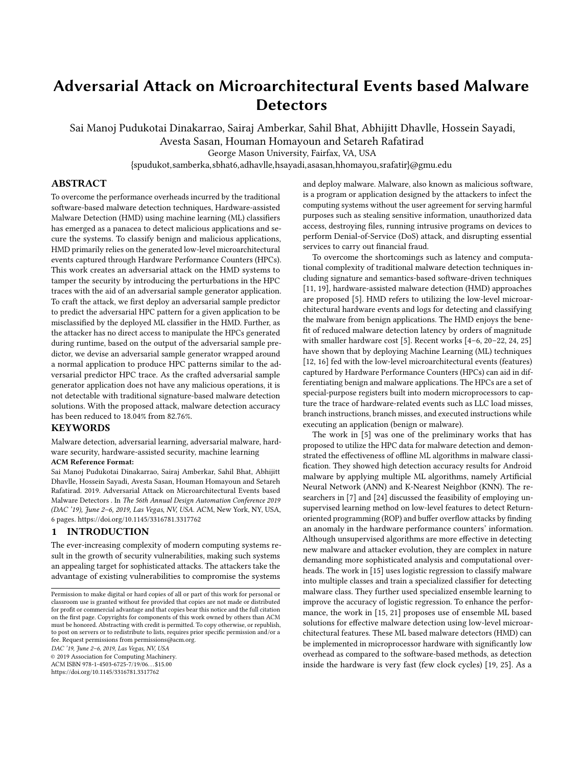# Adversarial Attack on Microarchitectural Events based Malware **Detectors**

Sai Manoj Pudukotai Dinakarrao, Sairaj Amberkar, Sahil Bhat, Abhijitt Dhavlle, Hossein Sayadi,

Avesta Sasan, Houman Homayoun and Setareh Rafatirad

George Mason University, Fairfax, VA, USA

{spudukot,samberka,sbhat6,adhavlle,hsayadi,asasan,hhomayou,srafatir}@gmu.edu

#### ABSTRACT

To overcome the performance overheads incurred by the traditional software-based malware detection techniques, Hardware-assisted Malware Detection (HMD) using machine learning (ML) classifiers has emerged as a panacea to detect malicious applications and secure the systems. To classify benign and malicious applications, HMD primarily relies on the generated low-level microarchitectural events captured through Hardware Performance Counters (HPCs). This work creates an adversarial attack on the HMD systems to tamper the security by introducing the perturbations in the HPC traces with the aid of an adversarial sample generator application. To craft the attack, we first deploy an adversarial sample predictor to predict the adversarial HPC pattern for a given application to be misclassified by the deployed ML classifier in the HMD. Further, as the attacker has no direct access to manipulate the HPCs generated during runtime, based on the output of the adversarial sample predictor, we devise an adversarial sample generator wrapped around a normal application to produce HPC patterns similar to the adversarial predictor HPC trace. As the crafted adversarial sample generator application does not have any malicious operations, it is not detectable with traditional signature-based malware detection solutions. With the proposed attack, malware detection accuracy has been reduced to 18.04% from 82.76%.

#### **KEYWORDS**

Malware detection, adversarial learning, adversarial malware, hardware security, hardware-assisted security, machine learning

#### ACM Reference Format:

Sai Manoj Pudukotai Dinakarrao, Sairaj Amberkar, Sahil Bhat, Abhijitt Dhavlle, Hossein Sayadi, Avesta Sasan, Houman Homayoun and Setareh Rafatirad. 2019. Adversarial Attack on Microarchitectural Events based Malware Detectors . In The 56th Annual Design Automation Conference 2019 (DAC '19), June 2–6, 2019, Las Vegas, NV, USA. ACM, New York, NY, USA, 6 pages. https://doi.org/10.1145/3316781.3317762

#### **INTRODUCTION**

The ever-increasing complexity of modern computing systems result in the growth of security vulnerabilities, making such systems an appealing target for sophisticated attacks. The attackers take the advantage of existing vulnerabilities to compromise the systems

DAC '19, June 2–6, 2019, Las Vegas, NV, USA

© 2019 Association for Computing Machinery. ACM ISBN 978-1-4503-6725-7/19/06. . . \$15.00

https://doi.org/10.1145/3316781.3317762

and deploy malware. Malware, also known as malicious software, is a program or application designed by the attackers to infect the computing systems without the user agreement for serving harmful purposes such as stealing sensitive information, unauthorized data access, destroying files, running intrusive programs on devices to perform Denial-of-Service (DoS) attack, and disrupting essential services to carry out financial fraud.

To overcome the shortcomings such as latency and computational complexity of traditional malware detection techniques including signature and semantics-based software-driven techniques [11, 19], hardware-assisted malware detection (HMD) approaches are proposed [5]. HMD refers to utilizing the low-level microarchitectural hardware events and logs for detecting and classifying the malware from benign applications. The HMD enjoys the benefit of reduced malware detection latency by orders of magnitude with smaller hardware cost [5]. Recent works [4–6, 20–22, 24, 25] have shown that by deploying Machine Learning (ML) techniques [12, 16] fed with the low-level microarchitectural events (features) captured by Hardware Performance Counters (HPCs) can aid in differentiating benign and malware applications. The HPCs are a set of special-purpose registers built into modern microprocessors to capture the trace of hardware-related events such as LLC load misses, branch instructions, branch misses, and executed instructions while executing an application (benign or malware).

The work in [5] was one of the preliminary works that has proposed to utilize the HPC data for malware detection and demonstrated the effectiveness of offline ML algorithms in malware classification. They showed high detection accuracy results for Android malware by applying multiple ML algorithms, namely Artificial Neural Network (ANN) and K-Nearest Neighbor (KNN). The researchers in [7] and [24] discussed the feasibility of employing unsupervised learning method on low-level features to detect Returnoriented programming (ROP) and buffer overflow attacks by finding an anomaly in the hardware performance counters' information. Although unsupervised algorithms are more effective in detecting new malware and attacker evolution, they are complex in nature demanding more sophisticated analysis and computational overheads. The work in [15] uses logistic regression to classify malware into multiple classes and train a specialized classifier for detecting malware class. They further used specialized ensemble learning to improve the accuracy of logistic regression. To enhance the performance, the work in [15, 21] proposes use of ensemble ML based solutions for effective malware detection using low-level microarchitectural features. These ML based malware detectors (HMD) can be implemented in microprocessor hardware with significantly low overhead as compared to the software-based methods, as detection inside the hardware is very fast (few clock cycles) [19, 25]. As a

Permission to make digital or hard copies of all or part of this work for personal or classroom use is granted without fee provided that copies are not made or distributed for profit or commercial advantage and that copies bear this notice and the full citation on the first page. Copyrights for components of this work owned by others than ACM must be honored. Abstracting with credit is permitted. To copy otherwise, or republish, to post on servers or to redistribute to lists, requires prior specific permission and/or a fee. Request permissions from permissions@acm.org.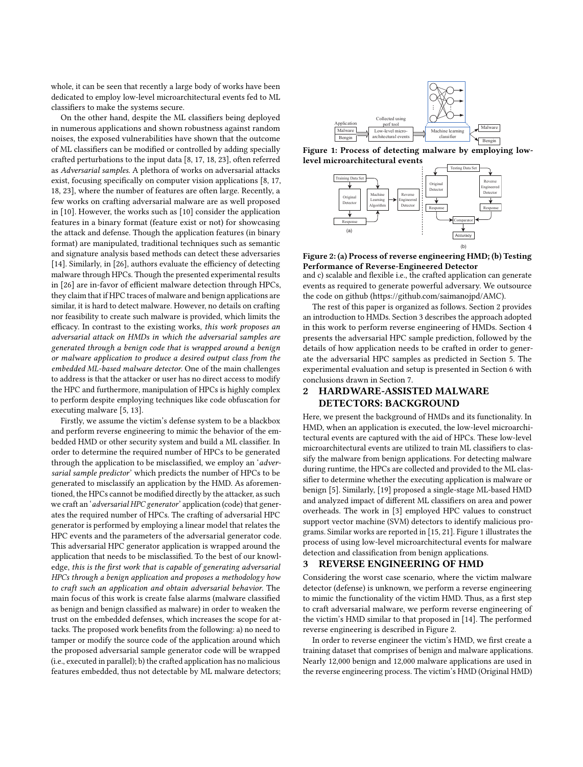whole, it can be seen that recently a large body of works have been dedicated to employ low-level microarchitectural events fed to ML classifiers to make the systems secure.

On the other hand, despite the ML classifiers being deployed in numerous applications and shown robustness against random noises, the exposed vulnerabilities have shown that the outcome of ML classifiers can be modified or controlled by adding specially crafted perturbations to the input data [8, 17, 18, 23], often referred as Adversarial samples. A plethora of works on adversarial attacks exist, focusing specifically on computer vision applications [8, 17, 18, 23], where the number of features are often large. Recently, a few works on crafting adversarial malware are as well proposed in [10]. However, the works such as [10] consider the application features in a binary format (feature exist or not) for showcasing the attack and defense. Though the application features (in binary format) are manipulated, traditional techniques such as semantic and signature analysis based methods can detect these adversaries [14]. Similarly, in [26], authors evaluate the efficiency of detecting malware through HPCs. Though the presented experimental results in [26] are in-favor of efficient malware detection through HPCs, they claim that if HPC traces of malware and benign applications are similar, it is hard to detect malware. However, no details on crafting nor feasibility to create such malware is provided, which limits the efficacy. In contrast to the existing works, this work proposes an adversarial attack on HMDs in which the adversarial samples are generated through a benign code that is wrapped around a benign or malware application to produce a desired output class from the embedded ML-based malware detector. One of the main challenges to address is that the attacker or user has no direct access to modify the HPC and furthermore, manipulation of HPCs is highly complex to perform despite employing techniques like code obfuscation for executing malware [5, 13].

Firstly, we assume the victim's defense system to be a blackbox and perform reverse engineering to mimic the behavior of the embedded HMD or other security system and build a ML classifier. In order to determine the required number of HPCs to be generated through the application to be misclassified, we employ an 'adversarial sample predictor' which predicts the number of HPCs to be generated to misclassify an application by the HMD. As aforementioned, the HPCs cannot be modified directly by the attacker, as such we craft an 'adversarial HPC generator' application (code) that generates the required number of HPCs. The crafting of adversarial HPC generator is performed by employing a linear model that relates the HPC events and the parameters of the adversarial generator code. This adversarial HPC generator application is wrapped around the application that needs to be misclassified. To the best of our knowledge, this is the first work that is capable of generating adversarial HPCs through a benign application and proposes a methodology how to craft such an application and obtain adversarial behavior. The main focus of this work is create false alarms (malware classified as benign and benign classified as malware) in order to weaken the trust on the embedded defenses, which increases the scope for attacks. The proposed work benefits from the following: a) no need to tamper or modify the source code of the application around which the proposed adversarial sample generator code will be wrapped (i.e., executed in parallel); b) the crafted application has no malicious features embedded, thus not detectable by ML malware detectors;



Figure 1: Process of detecting malware by employing lowlevel microarchitectural events



Figure 2: (a) Process of reverse engineering HMD; (b) Testing Performance of Reverse-Engineered Detector

and c) scalable and flexible i.e., the crafted application can generate events as required to generate powerful adversary. We outsource the code on github (https://github.com/saimanojpd/AMC).

The rest of this paper is organized as follows. Section 2 provides an introduction to HMDs. Section 3 describes the approach adopted in this work to perform reverse engineering of HMDs. Section 4 presents the adversarial HPC sample prediction, followed by the details of how application needs to be crafted in order to generate the adversarial HPC samples as predicted in Section 5. The experimental evaluation and setup is presented in Section 6 with conclusions drawn in Section 7.

#### 2 HARDWARE-ASSISTED MALWARE DETECTORS: BACKGROUND

Here, we present the background of HMDs and its functionality. In HMD, when an application is executed, the low-level microarchitectural events are captured with the aid of HPCs. These low-level microarchitectural events are utilized to train ML classifiers to classify the malware from benign applications. For detecting malware during runtime, the HPCs are collected and provided to the ML classifier to determine whether the executing application is malware or benign [5]. Similarly, [19] proposed a single-stage ML-based HMD and analyzed impact of different ML classifiers on area and power overheads. The work in [3] employed HPC values to construct support vector machine (SVM) detectors to identify malicious programs. Similar works are reported in [15, 21]. Figure 1 illustrates the process of using low-level microarchitectural events for malware detection and classification from benign applications.

#### 3 REVERSE ENGINEERING OF HMD

Considering the worst case scenario, where the victim malware detector (defense) is unknown, we perform a reverse engineering to mimic the functionality of the victim HMD. Thus, as a first step to craft adversarial malware, we perform reverse engineering of the victim's HMD similar to that proposed in [14]. The performed reverse engineering is described in Figure 2.

In order to reverse engineer the victim's HMD, we first create a training dataset that comprises of benign and malware applications. Nearly 12,000 benign and 12,000 malware applications are used in the reverse engineering process. The victim's HMD (Original HMD)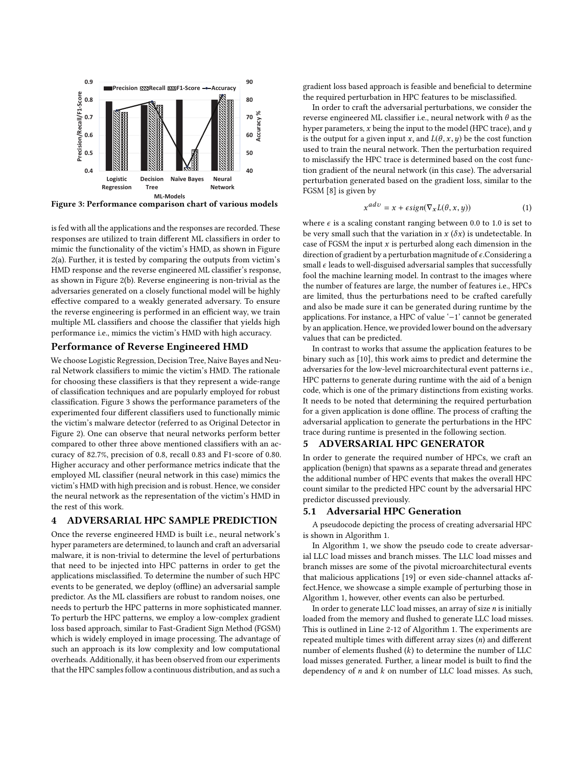

Figure 3: Performance comparison chart of various models

is fed with all the applications and the responses are recorded. These responses are utilized to train different ML classifiers in order to mimic the functionality of the victim's HMD, as shown in Figure 2(a). Further, it is tested by comparing the outputs from victim's HMD response and the reverse engineered ML classifier's response, as shown in Figure 2(b). Reverse engineering is non-trivial as the adversaries generated on a closely functional model will be highly effective compared to a weakly generated adversary. To ensure the reverse engineering is performed in an efficient way, we train multiple ML classifiers and choose the classifier that yields high performance i.e., mimics the victim's HMD with high accuracy.

#### Performance of Reverse Engineered HMD

We choose Logistic Regression, Decision Tree, Naive Bayes and Neural Network classifiers to mimic the victim's HMD. The rationale for choosing these classifiers is that they represent a wide-range of classification techniques and are popularly employed for robust classification. Figure 3 shows the performance parameters of the experimented four different classifiers used to functionally mimic the victim's malware detector (referred to as Original Detector in Figure 2). One can observe that neural networks perform better compared to other three above mentioned classifiers with an accuracy of 82.7%, precision of 0.8, recall 0.83 and F1-score of 0.80. Higher accuracy and other performance metrics indicate that the employed ML classifier (neural network in this case) mimics the victim's HMD with high precision and is robust. Hence, we consider the neural network as the representation of the victim's HMD in the rest of this work.

#### 4 ADVERSARIAL HPC SAMPLE PREDICTION

Once the reverse engineered HMD is built i.e., neural network's hyper parameters are determined, to launch and craft an adversarial malware, it is non-trivial to determine the level of perturbations that need to be injected into HPC patterns in order to get the applications misclassified. To determine the number of such HPC events to be generated, we deploy (offline) an adversarial sample predictor. As the ML classifiers are robust to random noises, one needs to perturb the HPC patterns in more sophisticated manner. To perturb the HPC patterns, we employ a low-complex gradient loss based approach, similar to Fast-Gradient Sign Method (FGSM) which is widely employed in image processing. The advantage of such an approach is its low complexity and low computational overheads. Additionally, it has been observed from our experiments that the HPC samples follow a continuous distribution, and as such a

gradient loss based approach is feasible and beneficial to determine the required perturbation in HPC features to be misclassified.

In order to craft the adversarial perturbations, we consider the reverse engineered ML classifier i.e., neural network with  $\theta$  as the hyper parameters,  $x$  being the input to the model (HPC trace), and  $y$ is the output for a given input x, and  $L(\theta, x, y)$  be the cost function used to train the neural network. Then the perturbation required to misclassify the HPC trace is determined based on the cost function gradient of the neural network (in this case). The adversarial perturbation generated based on the gradient loss, similar to the FGSM [8] is given by

$$
x^{adv} = x + \epsilon sign(\nabla_x L(\theta, x, y))
$$
\n(1)

where  $\epsilon$  is a scaling constant ranging between 0.0 to 1.0 is set to be very small such that the variation in  $x(\delta x)$  is undetectable. In case of FGSM the input  $x$  is perturbed along each dimension in the direction of gradient by a perturbation magnitude of  $\epsilon$ . Considering a small  $\epsilon$  leads to well-disguised adversarial samples that successfully fool the machine learning model. In contrast to the images where the number of features are large, the number of features i.e., HPCs are limited, thus the perturbations need to be crafted carefully and also be made sure it can be generated during runtime by the applications. For instance, a HPC of value '−1' cannot be generated by an application. Hence, we provided lower bound on the adversary values that can be predicted.

In contrast to works that assume the application features to be binary such as [10], this work aims to predict and determine the adversaries for the low-level microarchitectural event patterns i.e., HPC patterns to generate during runtime with the aid of a benign code, which is one of the primary distinctions from existing works. It needs to be noted that determining the required perturbation for a given application is done offline. The process of crafting the adversarial application to generate the perturbations in the HPC trace during runtime is presented in the following section.

#### 5 ADVERSARIAL HPC GENERATOR

In order to generate the required number of HPCs, we craft an application (benign) that spawns as a separate thread and generates the additional number of HPC events that makes the overall HPC count similar to the predicted HPC count by the adversarial HPC predictor discussed previously.

#### 5.1 Adversarial HPC Generation

A pseudocode depicting the process of creating adversarial HPC is shown in Algorithm 1.

In Algorithm 1, we show the pseudo code to create adversarial LLC load misses and branch misses. The LLC load misses and branch misses are some of the pivotal microarchitectural events that malicious applications [19] or even side-channel attacks affect.Hence, we showcase a simple example of perturbing those in Algorithm 1, however, other events can also be perturbed.

In order to generate LLC load misses, an array of size  $n$  is initially loaded from the memory and flushed to generate LLC load misses. This is outlined in Line 2-12 of Algorithm 1. The experiments are repeated multiple times with different array sizes (n) and different number of elements flushed  $(k)$  to determine the number of LLC load misses generated. Further, a linear model is built to find the dependency of  $n$  and  $k$  on number of LLC load misses. As such,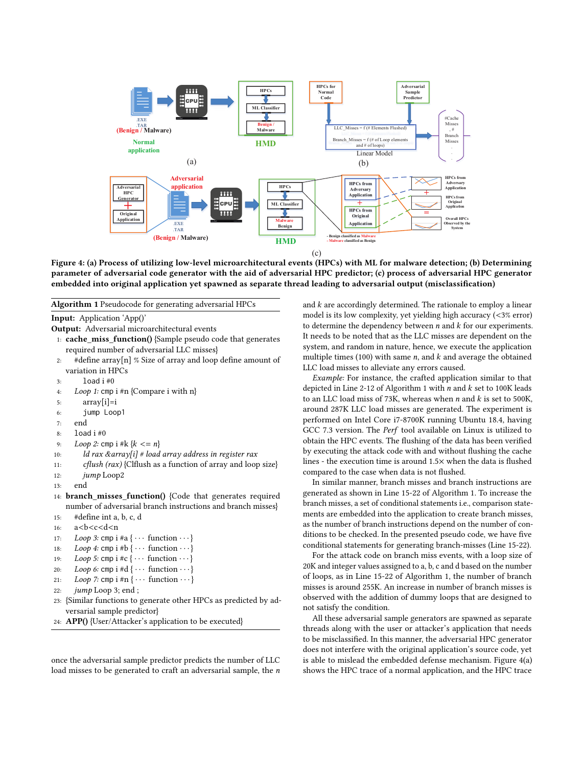

Figure 4: (a) Process of utilizing low-level microarchitectural events (HPCs) with ML for malware detection; (b) Determining parameter of adversarial code generator with the aid of adversarial HPC predictor; (c) process of adversarial HPC generator embedded into original application yet spawned as separate thread leading to adversarial output (misclassification)

Algorithm 1 Pseudocode for generating adversarial HPCs

Input: Application 'App()'

Output: Adversarial microarchitectural events

```
1: cache_miss_function() {Sample pseudo code that generates
required number of adversarial LLC misses}
```
- 2: #define array[n] % Size of array and loop define amount of variation in HPCs
- $3:$  load  $i \#0$
- 4: Loop 1: cmp i #n {Compare i with n}
- 5:  $array[i]=i$
- 6: jump Loop1
- 7: end
- 8: load i #0
- 9: Loop 2: cmp i #k  $\{k \le n\}$ <br>10:  $ld$  rax & array[i] # load
- ld rax &array[i] # load array address in register rax
- 11: cflush (rax) {Clflush as a function of array and loop size}

```
12: jump Loop2
```
- 13: end
- 14: branch\_misses\_function() {Code that generates required number of adversarial branch instructions and branch misses}
- 15: #define int a, b, c, d
- 16: a<br/>b<c<d<n></>17: Loop 3: cmp i
- Loop 3: cmp i #a  $\{ \cdots$  function  $\cdots$ }

```
18: Loop 4: cmp i #b \{\cdots function \cdots}
```
- 19: Loop 5: cmp i #c  $\{\cdots$  function  $\cdots$ }
- 20: Loop 6: cmp i #d  $\{\cdots$  function  $\cdots$ }

```
21: Loop 7: cmp i #n \{ \cdots function \cdots}
```

```
22: jump Loop 3; end ;
```
- 23: {Similar functions to generate other HPCs as predicted by adversarial sample predictor}
- 24: APP() {User/Attacker's application to be executed}

once the adversarial sample predictor predicts the number of LLC load misses to be generated to craft an adversarial sample, the n

and  $k$  are accordingly determined. The rationale to employ a linear model is its low complexity, yet yielding high accuracy (<3% error) to determine the dependency between  $n$  and  $k$  for our experiments. It needs to be noted that as the LLC misses are dependent on the system, and random in nature, hence, we execute the application multiple times (100) with same  $n$ , and  $k$  and average the obtained LLC load misses to alleviate any errors caused.

Example: For instance, the crafted application similar to that depicted in Line 2-12 of Algorithm 1 with  $n$  and  $k$  set to 100K leads to an LLC load miss of 73K, whereas when  $n$  and  $k$  is set to 500K, around 287K LLC load misses are generated. The experiment is performed on Intel Core i7-8700K running Ubuntu 18.4, having GCC 7.3 version. The Perf tool available on Linux is utilized to obtain the HPC events. The flushing of the data has been verified by executing the attack code with and without flushing the cache lines - the execution time is around 1.5× when the data is flushed compared to the case when data is not flushed.

In similar manner, branch misses and branch instructions are generated as shown in Line 15-22 of Algorithm 1. To increase the branch misses, a set of conditional statements i.e., comparison statements are embedded into the application to create branch misses, as the number of branch instructions depend on the number of conditions to be checked. In the presented pseudo code, we have five conditional statements for generating branch-misses (Line 15-22).

For the attack code on branch miss events, with a loop size of 20K and integer values assigned to a, b, c and d based on the number of loops, as in Line 15-22 of Algorithm 1, the number of branch misses is around 255K. An increase in number of branch misses is observed with the addition of dummy loops that are designed to not satisfy the condition.

All these adversarial sample generators are spawned as separate threads along with the user or attacker's application that needs to be misclassified. In this manner, the adversarial HPC generator does not interfere with the original application's source code, yet is able to mislead the embedded defense mechanism. Figure 4(a) shows the HPC trace of a normal application, and the HPC trace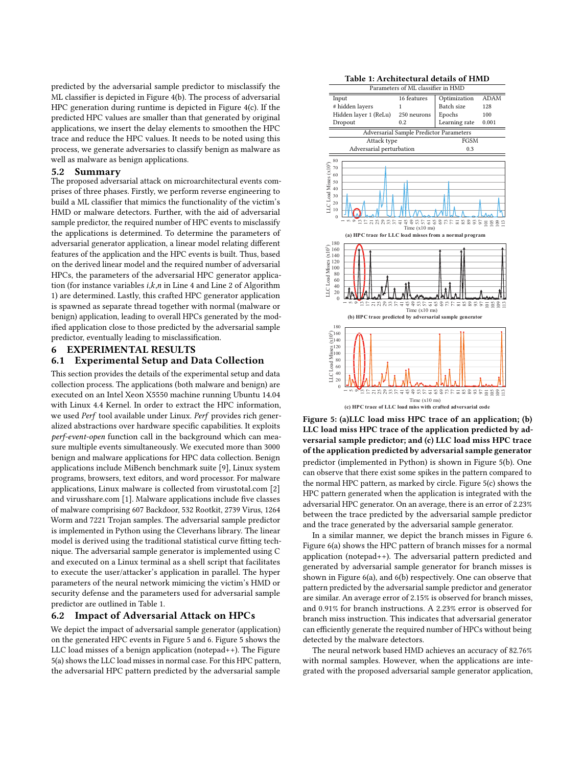predicted by the adversarial sample predictor to misclassify the ML classifier is depicted in Figure 4(b). The process of adversarial HPC generation during runtime is depicted in Figure 4(c). If the predicted HPC values are smaller than that generated by original applications, we insert the delay elements to smoothen the HPC trace and reduce the HPC values. It needs to be noted using this process, we generate adversaries to classify benign as malware as well as malware as benign applications.

#### 5.2 Summary

The proposed adversarial attack on microarchitectural events comprises of three phases. Firstly, we perform reverse engineering to build a ML classifier that mimics the functionality of the victim's HMD or malware detectors. Further, with the aid of adversarial sample predictor, the required number of HPC events to misclassify the applications is determined. To determine the parameters of adversarial generator application, a linear model relating different features of the application and the HPC events is built. Thus, based on the derived linear model and the required number of adversarial HPCs, the parameters of the adversarial HPC generator application (for instance variables  $i, k, n$  in Line 4 and Line 2 of Algorithm 1) are determined. Lastly, this crafted HPC generator application is spawned as separate thread together with normal (malware or benign) application, leading to overall HPCs generated by the modified application close to those predicted by the adversarial sample predictor, eventually leading to misclassification.

## 6 EXPERIMENTAL RESULTS

### 6.1 Experimental Setup and Data Collection

This section provides the details of the experimental setup and data collection process. The applications (both malware and benign) are executed on an Intel Xeon X5550 machine running Ubuntu 14.04 with Linux 4.4 Kernel. In order to extract the HPC information, we used Perf tool available under Linux. Perf provides rich generalized abstractions over hardware specific capabilities. It exploits perf-event-open function call in the background which can measure multiple events simultaneously. We executed more than 3000 benign and malware applications for HPC data collection. Benign applications include MiBench benchmark suite [9], Linux system programs, browsers, text editors, and word processor. For malware applications, Linux malware is collected from virustotal.com [2] and virusshare.com [1]. Malware applications include five classes of malware comprising 607 Backdoor, 532 Rootkit, 2739 Virus, 1264 Worm and 7221 Trojan samples. The adversarial sample predictor is implemented in Python using the Cleverhans library. The linear model is derived using the traditional statistical curve fitting technique. The adversarial sample generator is implemented using C and executed on a Linux terminal as a shell script that facilitates to execute the user/attacker's application in parallel. The hyper parameters of the neural network mimicing the victim's HMD or security defense and the parameters used for adversarial sample predictor are outlined in Table 1.

#### 6.2 Impact of Adversarial Attack on HPCs

We depict the impact of adversarial sample generator (application) on the generated HPC events in Figure 5 and 6. Figure 5 shows the LLC load misses of a benign application (notepad++). The Figure 5(a) shows the LLC load misses in normal case. For this HPC pattern, the adversarial HPC pattern predicted by the adversarial sample





Figure 5: (a)LLC load miss HPC trace of an application; (b) LLC load miss HPC trace of the application predicted by adversarial sample predictor; and (c) LLC load miss HPC trace of the application predicted by adversarial sample generator predictor (implemented in Python) is shown in Figure 5(b). One can observe that there exist some spikes in the pattern compared to the normal HPC pattern, as marked by circle. Figure 5(c) shows the HPC pattern generated when the application is integrated with the adversarial HPC generator. On an average, there is an error of 2.23% between the trace predicted by the adversarial sample predictor and the trace generated by the adversarial sample generator.

In a similar manner, we depict the branch misses in Figure 6. Figure 6(a) shows the HPC pattern of branch misses for a normal application (notepad++). The adversarial pattern predicted and generated by adversarial sample generator for branch misses is shown in Figure 6(a), and 6(b) respectively. One can observe that pattern predicted by the adversarial sample predictor and generator are similar. An average error of 2.15% is observed for branch misses, and 0.91% for branch instructions. A 2.23% error is observed for branch miss instruction. This indicates that adversarial generator can efficiently generate the required number of HPCs without being detected by the malware detectors.

The neural network based HMD achieves an accuracy of 82.76% with normal samples. However, when the applications are integrated with the proposed adversarial sample generator application,